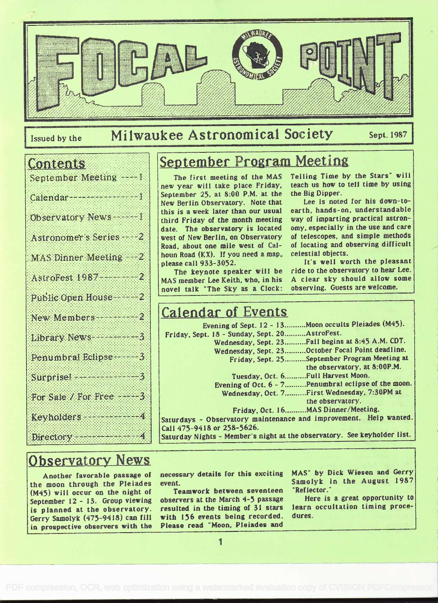

## Issued by the Milwaukee Astronomical Society Sept. 1987

#### Contents

| September Meeting                  |  |
|------------------------------------|--|
| Calendar 1                         |  |
| Observatory News 1                 |  |
| Astronomer's Series 2              |  |
| <b>MAS Dinner Meeting</b> 2        |  |
| AstroFest 1987                     |  |
| Public Open House                  |  |
| New Members 22                     |  |
| Library News 2007                  |  |
| Penumbral Eclipse                  |  |
| Surprise                           |  |
| For Sale / For Free                |  |
| Keyholders and the second results. |  |
| Directory and the property         |  |

## September Program Meeting

The first. meeting of the MAS new year will take place Friday, September 25, at 8:00 P.M. at the New Berlin Observatory. Note that this is a week later than our usual third Friday of the month meeting date. The observatory is located west of New Berlin, on Observatory Road. about one mile west of Calhoun Road (KX). If you need a map. celestial objects. please call 933-3052.

The keynote speaker will be MAS member Lee Keith, who, in his novel talk "The Sky as a Clock: Telling Time by the Stars" will teach us how to tell time by using the Big Dipper.

Lee is noted for his down-toearth. hands-on, understandable way of impartíng practical astronomy. especially in the use and care of telescopes, and simple methods of locating and observing difficult

It's well worth the pleasant ride to the observatory to hear Lee. <sup>A</sup>clear sky should allow some observing. Guests are welcome.

### Calendar of Events

Saturday Nights - Member's night at the observatory. See keyholder list. Evening of Sept. 12 - 13..........Moon occults Pleiades (M45). Friday, Sept. 18 - Sunday, Sept. 20 .......... AstroFest. Wednesday, Sept. 23 .......... Fall begins at 8:45 A.M. CDT. Wednesday, Sept. 23 .......... October Focal Point deadline. Friday, Sept. 25 .......... September Program Meeting at the observatory, at 8:00P.M. Tuesday, Oct. 6..........Full Harvest Moon. Evening of Oct. 6 - 7 .......... Penumbral eclipse of the moon. Wednesday. Oct. 7 .......... First Wednesday, 7:30PM at the observatory. Friday. Oct. 16..........MAS Dinner/Meeting. Saturdays - Observatory maintenance and improvement. Help wanted. Call 475-9418 or 258-5626.

#### **Observatory News**

Another favorable passage of the moon through the Pleiades (M45) will occur on the night of September 12 - 13. Group viewing is planned at the observatory. Gerry Samolyk (475-9418) can fill in prospective observers with the

necessary details for this exciting event.

Teamwork between seventeen observers at the March 4-5 passage resulted in the timing of 31 stars with 156 events being recorded. Please read "Moon, Pleiades and

MAS" by Dick Wiesen and Gerry Samolyk in the August 1987 'Reflector.

Here is a great opportunity to learn occultation timing procedures.

 $\mathbf{I}$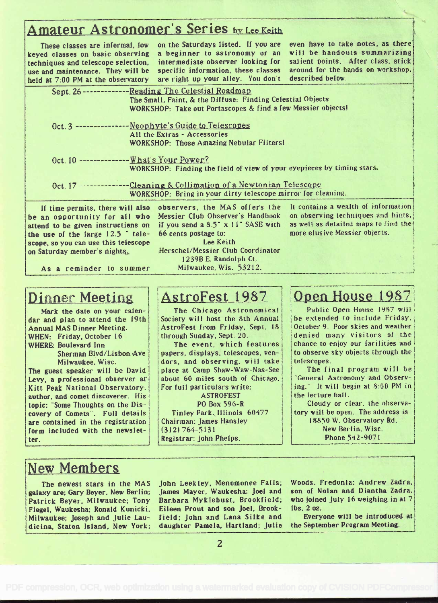#### Amateur Astronomer's Series by Lee Keith

These classes are informal. low keyed classes on basic observing techniques and telescope selection. use and maintenance. They vili be held at 7:00 PM at the observatory

on the Saturdays listed. If you are a beginner to astronomy or an intermediate observer looking for specific information, these classes are right up your alley. You don't

even bave to take notes, as there will be handouts summarizing salient points. After class, stick around for the hands on workshop, described below.

| Sept. 26------------                                                                                                                                                               | -Reading The Celestial Roadmap<br>The Small, Faint. & the Diffuse: Finding Celestial Objects<br>WORKSHOP: Take out Portascopes & find a few Messier objects!                                                            |                                                                                                                                                    |
|------------------------------------------------------------------------------------------------------------------------------------------------------------------------------------|-------------------------------------------------------------------------------------------------------------------------------------------------------------------------------------------------------------------------|----------------------------------------------------------------------------------------------------------------------------------------------------|
| Oct. 3 ------------------Neophyte's Guide to Telescopes                                                                                                                            | All the Extras - Accessories<br>WORKSHOP: Those Amazing Nebular Filters!                                                                                                                                                |                                                                                                                                                    |
| Oct. 10 ------------------ What's Your Power?                                                                                                                                      | WORKSHOP: Finding the field of view of your eyepieces by timing stars.                                                                                                                                                  |                                                                                                                                                    |
|                                                                                                                                                                                    | Oct. 17 ----------------Cleaning & Collimation of a Newtonian Telescope<br>WORKSHOP: Bring in your dirty telescope mirror for cleaning.                                                                                 |                                                                                                                                                    |
| be an opportunity for all who<br>attend to be given instructions on<br>the use of the large $12.5$ " tele-<br>scope, so you can use this telescope<br>on Saturday member's nights. | If time permits, there will also observers, the MAS offers the<br>Messier Club Observer's Handbook<br>if you send a $8.5$ " $x$ 11" SASE with<br>66 cents postage to:<br>Lee Keith<br>Herschel/Messier Club Coordinator | It contains a wealth of information<br>on observing techniques and hints.<br>as well as detailed maps to find the<br>more elusive Messier objects. |

As a reminder to summer

#### Dinner Meeting

Mark the date on your calendar and plan to attend the 19th Annual MAS Dinner Meeting. WHEN: Friday, October 16 WHERE: Boulevard Inn Sherman Blvd/Lisbon, Ave

Milwaukee. Wisc.

The guest speaker will be David Levy, a professional observer at Kitt Peak National Observatory. author, and comet discoverer. His topic: "Some Thoughts on the Discovery of Comets". Full details are contained in the registration form included with the newsletter.

#### AstroFest 1987

1239B E. Randolph Ct. Milwaukee, Wis. 53212.

The Chicago Astronomical Society will host the 8th Annual AstroFest. from Friday, Sept.. 18 through Sunday, Sept. 20.

The event, which features papers, displays, telescopes, vendors. and observing. will take place at. Camp Shaw-Waw-Nas-See about 60 miles south of Chicago. For full particulars write:

**ASTROFEST** Po Box 596-R Tinley Park. Illinois 60477 Chairman: James Hansley (312) 764-S131 Registrar: John Phelps.

#### Open House 1987

Public Open House 1987 will be extended to include Friday, October 9. Poor skies and weather denied many visitors of the chance to enjoy our facilities and to observe sky objects through the telescopes.

The final program will be General Astronomy and Observing. It will begin at 8:00 PM in the lecture hat!.

Cloudy or clear, the observatory will be open. The address is 18850 W. Observatory Rd. New Berlin, Wisc. Phone 542-9071

#### New Members

The newest stars in the MAS galaxy are; Gary Beyer, New Berlin; Patrick Beyer. Milwaukee; Tony Flegel. Waukesha: Ronald Kunicki, Milwaukee; Joseph and Julie Laudicina, Staten Island. New York;

John Leekley. Menomonee Falls; James Mayer. Waukesha: Joel and Barbara Mykiebust. Brookfield; Eileen Prout and son Joel, Brookfield; John and Lana Silke and daughter Pamela, Hartland; Julie Woods. Fredonia: Andrew Zadra, son of Nolan and Diantha Zadra. who joined July 16 weighing in at 7 lbs. 2 oz.

Everyone will be introduced at the September Program Meeting.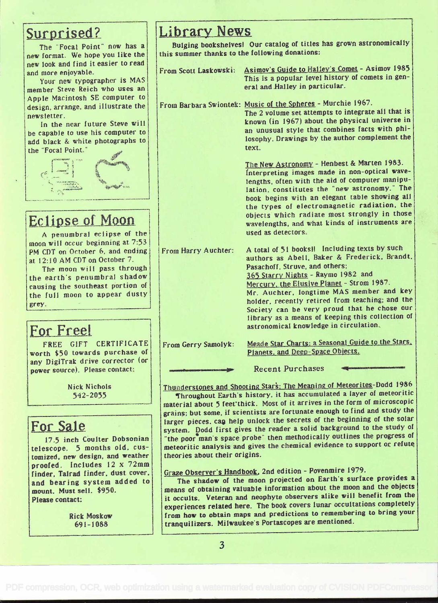#### Surprised?

The "Focal Point" now has a new format.. We hope you like the new look and find it easier to read and more enjoyable.

Your new typographer is MAS member Steve Reich who uses an Apple Macintosh SE computer to design. arrange. and illustrate the newsletter.

In the near future Steve will be capable to use his computer to add black & white photographs to the Focal Point.



### **Eclipse of Moon**

A penumbral eclipse of the moon will occur beginning at. 7:53 PM CDT on October 6, and ending at 12:10 AM CDT on October 7.

The moon will pass through the earth's penumbral shadow<br>causing the southeast portion of the full moon to appear dusty grey

#### For Free!

FREE GIFT CERTIFICATE worth \$50 towards purchase of any DigiTrak drive corrector (or power source). Please contact:

> Nick Nichols 542-2055

#### For Sale

17.5 inch Coulter Dobsonian telescope. 5 months old. customized. new design, and weather proofed. Includes 12 x 72mm finder, Tairad finder. dust cover. and bearing system added to mount. Must sell. \$950. Please contact:

> Rick Moskow 69 1 - I 088

#### Library News

Bulging bookshelvesl Our catalog of titles has grown astronomically this summer thanks to the following donations:

| From Scott Laskowski: | Asimov's Guide to Halley's Comet - Asimov 1985<br>This is a popular level history of comets in gen-<br>eral and Halley in particular.                                                                                                                                                                                                                                                                                                                         |  |
|-----------------------|---------------------------------------------------------------------------------------------------------------------------------------------------------------------------------------------------------------------------------------------------------------------------------------------------------------------------------------------------------------------------------------------------------------------------------------------------------------|--|
|                       | From Barbara Swiontek: Music of the Spheres - Murchie 1967.<br>The 2 volume set attempts to integrate all that is<br>known (in 1967) about the physical universe in<br>an unusual style that combines facts with phi-<br>losophy. Drawings by the author complement the<br>text.                                                                                                                                                                              |  |
|                       | The New Astronomy - Henbest & Marten 1983.<br>Interpreting images made in non-optical wave-<br>lengths, often with the aid of computer manipu-<br>lation, constitutes the "new astronomy." The<br>book begins with an elegant table showing all<br>the types of electromagnetic radiation, the<br>objects which radiate most strongly in those<br>wavelengths, and what kinds of instruments are<br>used as detectors.                                        |  |
| From Harry Auchter:   | A total of 51 books! Including texts by such<br>authors as Abell, Baker & Frederick, Brandt.<br>Pasachoff, Struve, and others;<br>365 Starry Nights - Raymo 1982 and<br>Mercury, the Elusive Planet - Strom 1987.<br>Mr. Auchter, longtime MAS member and key<br>holder, recently retired from teaching; and the<br>Society can be very proud that he chose our<br>library as a means of keeping this collection of<br>astronomical knowledge in circulation. |  |
| From Gerry Samolyk:   | Meade Star Charts: a Seasonal Guide to the Stars.<br>Planets, and Deep-Space Objects.                                                                                                                                                                                                                                                                                                                                                                         |  |
|                       | <b>Recent Purchases</b>                                                                                                                                                                                                                                                                                                                                                                                                                                       |  |

Thunderstones and Shooting Stars: The Meaning of Meteorites-Dodd <sup>1986</sup>

Throughout Earth's history, it has accumulated a layer of meteoritic material about 5 feet thick. Most of it arrives in the form of microscopic grains; but some, if scientists are fortunate enough to find and study the larger pieces, can help unlock the secrets of the beginning of the solar system. Dodd first gives the reader a solid background to the study of "the poor man's space probe" then methodically outlines the progress of meteoritic analysis and gives the chemical evidence to support or refute theories about their origins.

#### Graze Observer's Handbook. 2nd edition - Povenmire 1979.

The shadow of the moon projected on Earth's surface provides a means of obtaining valuable information about the moon and the objects it occults. Veteran and neophyte observers alike will benefit from the experiences related here. The book covers lunar occultations completely from how Lo obtain maps and predictions to remembering to bring your tranquilizers. Milwaukee's Portascopes are mentioned.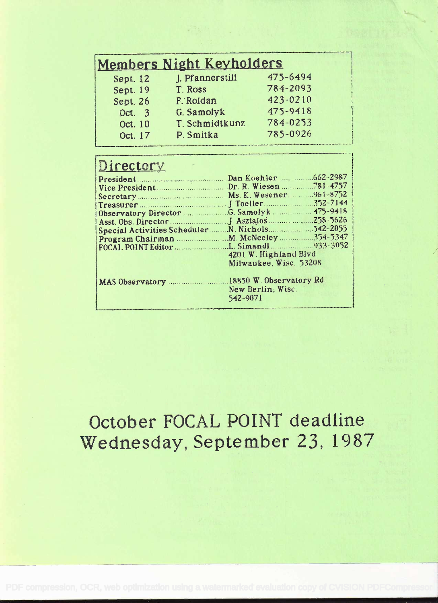## Members Night Keyholders

| Sept. 12 | J. Pfannerstill | 475-6494 |  |
|----------|-----------------|----------|--|
| Sept. 19 | T. Ross         | 784-2093 |  |
| Sept. 26 | F. Roldan       | 423-0210 |  |
| Oct. 3   | G. Samolyk      | 475-9418 |  |
| Oct. 10  | T. Schmidtkunz  | 784-0253 |  |
| Oct. 17  | P. Smitka       | 785-0926 |  |
|          |                 |          |  |

### **Directory**

| 4201 W. Highland Blvd  |  |  |
|------------------------|--|--|
| Milwaukee, Wisc. 53208 |  |  |
|                        |  |  |
| New Berlin, Wisc.      |  |  |
| 542-9071               |  |  |
|                        |  |  |

## October FOCAL POINT deadline Wednesday, September 23, 1987